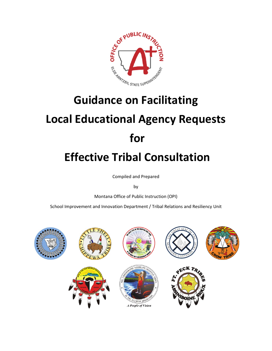

# **Guidance on Facilitating Local Educational Agency Requests for Effective Tribal Consultation**

Compiled and Prepared

by

Montana Office of Public Instruction (OPI)

School Improvement and Innovation Department / Tribal Relations and Resiliency Unit

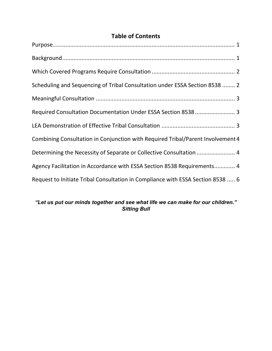# **Table of Contents**

| Scheduling and Sequencing of Tribal Consultation under ESSA Section 8538  2     |
|---------------------------------------------------------------------------------|
|                                                                                 |
| Required Consultation Documentation Under ESSA Section 8538  3                  |
|                                                                                 |
| Combining Consultation in Conjunction with Required Tribal/Parent Involvement 4 |
| Determining the Necessity of Separate or Collective Consultation  4             |
| Agency Facilitation in Accordance with ESSA Section 8538 Requirements 4         |
| Request to Initiate Tribal Consultation in Compliance with ESSA Section 8538  6 |

# *"Let us put our minds together and see what life we can make for our children." Sitting Bull*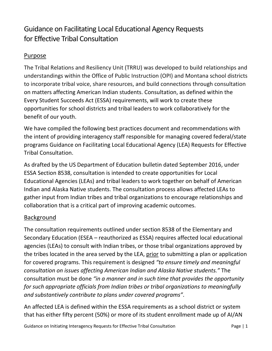# Guidance on Facilitating Local Educational Agency Requests for Effective Tribal Consultation

#### <span id="page-2-0"></span>Purpose

The Tribal Relations and Resiliency Unit (TRRU) was developed to build relationships and understandings within the Office of Public Instruction (OPI) and Montana school districts to incorporate tribal voice, share resources, and build connections through consultation on matters affecting American Indian students. Consultation, as defined within the Every Student Succeeds Act (ESSA) requirements, will work to create these opportunities for school districts and tribal leaders to work collaboratively for the benefit of our youth.

We have compiled the following best practices document and recommendations with the intent of providing interagency staff responsible for managing covered federal/state programs Guidance on Facilitating Local Educational Agency (LEA) Requests for Effective Tribal Consultation.

As drafted by the US Department of Education bulletin dated September 2016, under ESSA Section 8538, consultation is intended to create opportunities for Local Educational Agencies (LEAs) and tribal leaders to work together on behalf of American Indian and Alaska Native students. The consultation process allows affected LEAs to gather input from Indian tribes and tribal organizations to encourage relationships and collaboration that is a critical part of improving academic outcomes.

# <span id="page-2-1"></span>Background

The consultation requirements outlined under section 8538 of the Elementary and Secondary Education (ESEA – reauthorized as ESSA) requires affected local educational agencies (LEAs) to consult with Indian tribes, or those tribal organizations approved by the tribes located in the area served by the LEA, prior to submitting a plan or application for covered programs. This requirement is designed *"to ensure timely and meaningful consultation on issues affecting American Indian and Alaska Native students."* The consultation must be done *"in a manner and in such time that provides the opportunity for such appropriate officials from Indian tribes or tribal organizations to meaningfully and substantively contribute to plans under covered programs"*.

An affected LEA is defined within the ESSA requirements as a school district or system that has either fifty percent (50%) or more of its student enrollment made up of AI/AN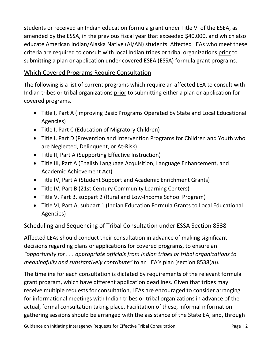students or received an Indian education formula grant under Title VI of the ESEA, as amended by the ESSA, in the previous fiscal year that exceeded \$40,000, and which also educate American Indian/Alaska Native (AI/AN) students. Affected LEAs who meet these criteria are required to consult with local Indian tribes or tribal organizations prior to submitting a plan or application under covered ESEA (ESSA) formula grant programs.

# <span id="page-3-0"></span>Which Covered Programs Require Consultation

The following is a list of current programs which require an affected LEA to consult with Indian tribes or tribal organizations prior to submitting either a plan or application for covered programs.

- Title I, Part A (Improving Basic Programs Operated by State and Local Educational Agencies)
- Title I, Part C (Education of Migratory Children)
- Title I, Part D (Prevention and Intervention Programs for Children and Youth who are Neglected, Delinquent, or At-Risk)
- Title II, Part A (Supporting Effective Instruction)
- Title III, Part A (English Language Acquisition, Language Enhancement, and Academic Achievement Act)
- Title IV, Part A (Student Support and Academic Enrichment Grants)
- Title IV, Part B (21st Century Community Learning Centers)
- Title V, Part B, subpart 2 (Rural and Low-Income School Program)
- Title VI, Part A, subpart 1 (Indian Education Formula Grants to Local Educational Agencies)

# <span id="page-3-1"></span>Scheduling and Sequencing of Tribal Consultation under ESSA Section 8538

Affected LEAs should conduct their consultation in advance of making significant decisions regarding plans or applications for covered programs, to ensure an *"opportunity for . . . appropriate officials from Indian tribes or tribal organizations to meaningfully and substantively contribute"* to an LEA's plan (section 8538(a)).

The timeline for each consultation is dictated by requirements of the relevant formula grant program, which have different application deadlines. Given that tribes may receive multiple requests for consultation, LEAs are encouraged to consider arranging for informational meetings with Indian tribes or tribal organizations in advance of the actual, formal consultation taking place. Facilitation of these, informal information gathering sessions should be arranged with the assistance of the State EA, and, through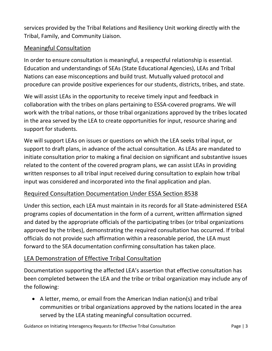services provided by the Tribal Relations and Resiliency Unit working directly with the Tribal, Family, and Community Liaison.

#### <span id="page-4-0"></span>Meaningful Consultation

In order to ensure consultation is meaningful, a respectful relationship is essential. Education and understandings of SEAs (State Educational Agencies), LEAs and Tribal Nations can ease misconceptions and build trust. Mutually valued protocol and procedure can provide positive experiences for our students, districts, tribes, and state.

We will assist LEAs in the opportunity to receive timely input and feedback in collaboration with the tribes on plans pertaining to ESSA-covered programs. We will work with the tribal nations, or those tribal organizations approved by the tribes located in the area served by the LEA to create opportunities for input, resource sharing and support for students.

We will support LEAs on issues or questions on which the LEA seeks tribal input, or support to draft plans, in advance of the actual consultation. As LEAs are mandated to initiate consultation prior to making a final decision on significant and substantive issues related to the content of the covered program plans, we can assist LEAs in providing written responses to all tribal input received during consultation to explain how tribal input was considered and incorporated into the final application and plan.

#### <span id="page-4-1"></span>Required Consultation Documentation Under ESSA Section 8538

Under this section, each LEA must maintain in its records for all State-administered ESEA programs copies of documentation in the form of a current, written affirmation signed and dated by the appropriate officials of the participating tribes (or tribal organizations approved by the tribes), demonstrating the required consultation has occurred. If tribal officials do not provide such affirmation within a reasonable period, the LEA must forward to the SEA documentation confirming consultation has taken place.

#### <span id="page-4-2"></span>LEA Demonstration of Effective Tribal Consultation

Documentation supporting the affected LEA's assertion that effective consultation has been completed between the LEA and the tribe or tribal organization may include any of the following:

• A letter, memo, or email from the American Indian nation(s) and tribal communities or tribal organizations approved by the nations located in the area served by the LEA stating meaningful consultation occurred.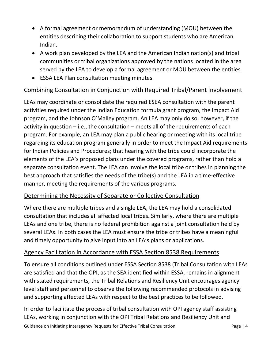- A formal agreement or memorandum of understanding (MOU) between the entities describing their collaboration to support students who are American Indian.
- A work plan developed by the LEA and the American Indian nation(s) and tribal communities or tribal organizations approved by the nations located in the area served by the LEA to develop a formal agreement or MOU between the entities.
- ESSA LEA Plan consultation meeting minutes.

# <span id="page-5-0"></span>Combining Consultation in Conjunction with Required Tribal/Parent Involvement

LEAs may coordinate or consolidate the required ESEA consultation with the parent activities required under the Indian Education formula grant program, the Impact Aid program, and the Johnson O'Malley program. An LEA may only do so, however, if the activity in question  $-$  i.e., the consultation  $-$  meets all of the requirements of each program. For example, an LEA may plan a public hearing or meeting with its local tribe regarding its education program generally in order to meet the Impact Aid requirements for Indian Policies and Procedures; that hearing with the tribe could incorporate the elements of the LEA's proposed plans under the covered programs, rather than hold a separate consultation event. The LEA can involve the local tribe or tribes in planning the best approach that satisfies the needs of the tribe(s) and the LEA in a time-effective manner, meeting the requirements of the various programs.

# <span id="page-5-1"></span>Determining the Necessity of Separate or Collective Consultation

Where there are multiple tribes and a single LEA, the LEA may hold a consolidated consultation that includes all affected local tribes. Similarly, where there are multiple LEAs and one tribe, there is no federal prohibition against a joint consultation held by several LEAs. In both cases the LEA must ensure the tribe or tribes have a meaningful and timely opportunity to give input into an LEA's plans or applications.

#### <span id="page-5-2"></span>Agency Facilitation in Accordance with ESSA Section 8538 Requirements

To ensure all conditions outlined under ESSA Section 8538 (Tribal Consultation with LEAs are satisfied and that the OPI, as the SEA identified within ESSA, remains in alignment with stated requirements, the Tribal Relations and Resiliency Unit encourages agency level staff and personnel to observe the following recommended protocols in advising and supporting affected LEAs with respect to the best practices to be followed.

Guidance on Initiating Interagency Requests for Effective Tribal Consultation Page | 4 In order to facilitate the process of tribal consultation with OPI agency staff assisting LEAs, working in conjunction with the OPI Tribal Relations and Resiliency Unit and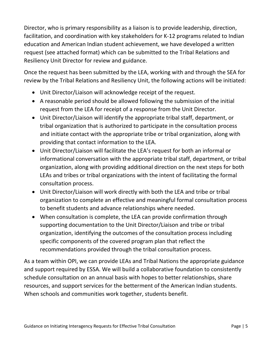Director, who is primary responsibility as a liaison is to provide leadership, direction, facilitation, and coordination with key stakeholders for K-12 programs related to Indian education and American Indian student achievement, we have developed a written request (see attached format) which can be submitted to the Tribal Relations and Resiliency Unit Director for review and guidance.

Once the request has been submitted by the LEA, working with and through the SEA for review by the Tribal Relations and Resiliency Unit, the following actions will be initiated:

- Unit Director/Liaison will acknowledge receipt of the request.
- A reasonable period should be allowed following the submission of the initial request from the LEA for receipt of a response from the Unit Director.
- Unit Director/Liaison will identify the appropriate tribal staff, department, or tribal organization that is authorized to participate in the consultation process and initiate contact with the appropriate tribe or tribal organization, along with providing that contact information to the LEA.
- Unit Director/Liaison will facilitate the LEA's request for both an informal or informational conversation with the appropriate tribal staff, department, or tribal organization, along with providing additional direction on the next steps for both LEAs and tribes or tribal organizations with the intent of facilitating the formal consultation process.
- Unit Director/Liaison will work directly with both the LEA and tribe or tribal organization to complete an effective and meaningful formal consultation process to benefit students and advance relationships where needed.
- When consultation is complete, the LEA can provide confirmation through supporting documentation to the Unit Director/Liaison and tribe or tribal organization, identifying the outcomes of the consultation process including specific components of the covered program plan that reflect the recommendations provided through the tribal consultation process.

As a team within OPI, we can provide LEAs and Tribal Nations the appropriate guidance and support required by ESSA. We will build a collaborative foundation to consistently schedule consultation on an annual basis with hopes to better relationships, share resources, and support services for the betterment of the American Indian students. When schools and communities work together, students benefit.